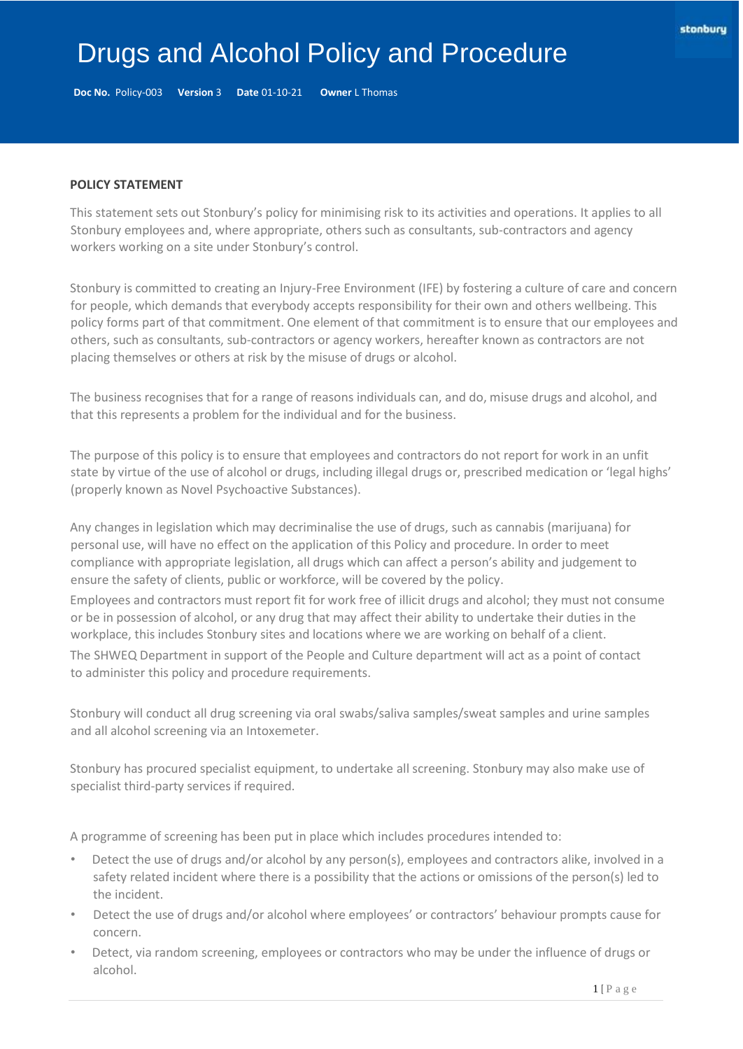# Drugs and Alcohol Policy and Procedure

**Doc No.** Policy-003 **Version** 3 **Date** 01-10-21 **Owner** L Thomas

#### **POLICY STATEMENT**

This statement sets out Stonbury's policy for minimising risk to its activities and operations. It applies to all Stonbury employees and, where appropriate, others such as consultants, sub-contractors and agency workers working on a site under Stonbury's control.

Stonbury is committed to creating an Injury-Free Environment (IFE) by fostering a culture of care and concern for people, which demands that everybody accepts responsibility for their own and others wellbeing. This policy forms part of that commitment. One element of that commitment is to ensure that our employees and others, such as consultants, sub-contractors or agency workers, hereafter known as contractors are not placing themselves or others at risk by the misuse of drugs or alcohol.

The business recognises that for a range of reasons individuals can, and do, misuse drugs and alcohol, and that this represents a problem for the individual and for the business.

The purpose of this policy is to ensure that employees and contractors do not report for work in an unfit state by virtue of the use of alcohol or drugs, including illegal drugs or, prescribed medication or 'legal highs' (properly known as Novel Psychoactive Substances).

Any changes in legislation which may decriminalise the use of drugs, such as cannabis (marijuana) for personal use, will have no effect on the application of this Policy and procedure. In order to meet compliance with appropriate legislation, all drugs which can affect a person's ability and judgement to ensure the safety of clients, public or workforce, will be covered by the policy.

Employees and contractors must report fit for work free of illicit drugs and alcohol; they must not consume or be in possession of alcohol, or any drug that may affect their ability to undertake their duties in the workplace, this includes Stonbury sites and locations where we are working on behalf of a client.

The SHWEQ Department in support of the People and Culture department will act as a point of contact to administer this policy and procedure requirements.

Stonbury will conduct all drug screening via oral swabs/saliva samples/sweat samples and urine samples and all alcohol screening via an Intoxemeter.

Stonbury has procured specialist equipment, to undertake all screening. Stonbury may also make use of specialist third-party services if required.

A programme of screening has been put in place which includes procedures intended to:

- Detect the use of drugs and/or alcohol by any person(s), employees and contractors alike, involved in a safety related incident where there is a possibility that the actions or omissions of the person(s) led to the incident.
- Detect the use of drugs and/or alcohol where employees' or contractors' behaviour prompts cause for concern.
- Detect, via random screening, employees or contractors who may be under the influence of drugs or alcohol.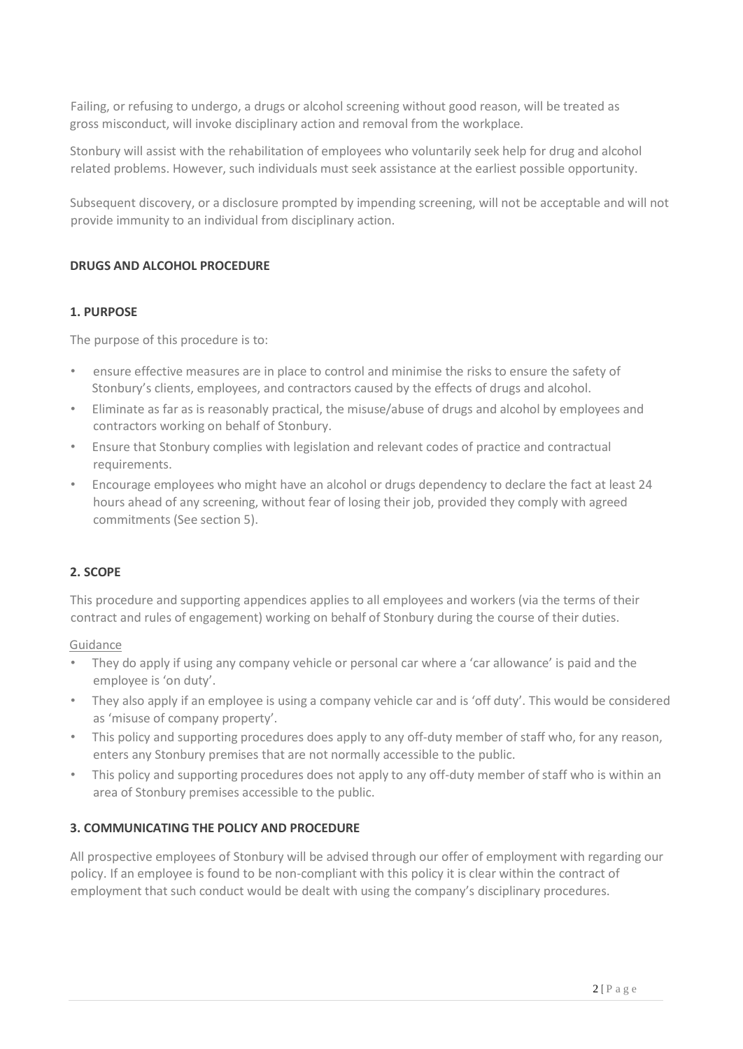Failing, or refusing to undergo, a drugs or alcohol screening without good reason, will be treated as gross misconduct, will invoke disciplinary action and removal from the workplace.

Stonbury will assist with the rehabilitation of employees who voluntarily seek help for drug and alcohol related problems. However, such individuals must seek assistance at the earliest possible opportunity.

Subsequent discovery, or a disclosure prompted by impending screening, will not be acceptable and will not provide immunity to an individual from disciplinary action.

#### **DRUGS AND ALCOHOL PROCEDURE**

#### **1. PURPOSE**

The purpose of this procedure is to:

- ensure effective measures are in place to control and minimise the risks to ensure the safety of Stonbury's clients, employees, and contractors caused by the effects of drugs and alcohol.
- Eliminate as far as is reasonably practical, the misuse/abuse of drugs and alcohol by employees and contractors working on behalf of Stonbury.
- Ensure that Stonbury complies with legislation and relevant codes of practice and contractual requirements.
- Encourage employees who might have an alcohol or drugs dependency to declare the fact at least 24 hours ahead of any screening, without fear of losing their job, provided they comply with agreed commitments (See section 5).

## **2. SCOPE**

This procedure and supporting appendices applies to all employees and workers (via the terms of their contract and rules of engagement) working on behalf of Stonbury during the course of their duties.

#### Guidance

- They do apply if using any company vehicle or personal car where a 'car allowance' is paid and the employee is 'on duty'.
- They also apply if an employee is using a company vehicle car and is 'off duty'. This would be considered as 'misuse of company property'.
- This policy and supporting procedures does apply to any off-duty member of staff who, for any reason, enters any Stonbury premises that are not normally accessible to the public.
- This policy and supporting procedures does not apply to any off-duty member of staff who is within an area of Stonbury premises accessible to the public.

## **3. COMMUNICATING THE POLICY AND PROCEDURE**

All prospective employees of Stonbury will be advised through our offer of employment with regarding our policy. If an employee is found to be non-compliant with this policy it is clear within the contract of employment that such conduct would be dealt with using the company's disciplinary procedures.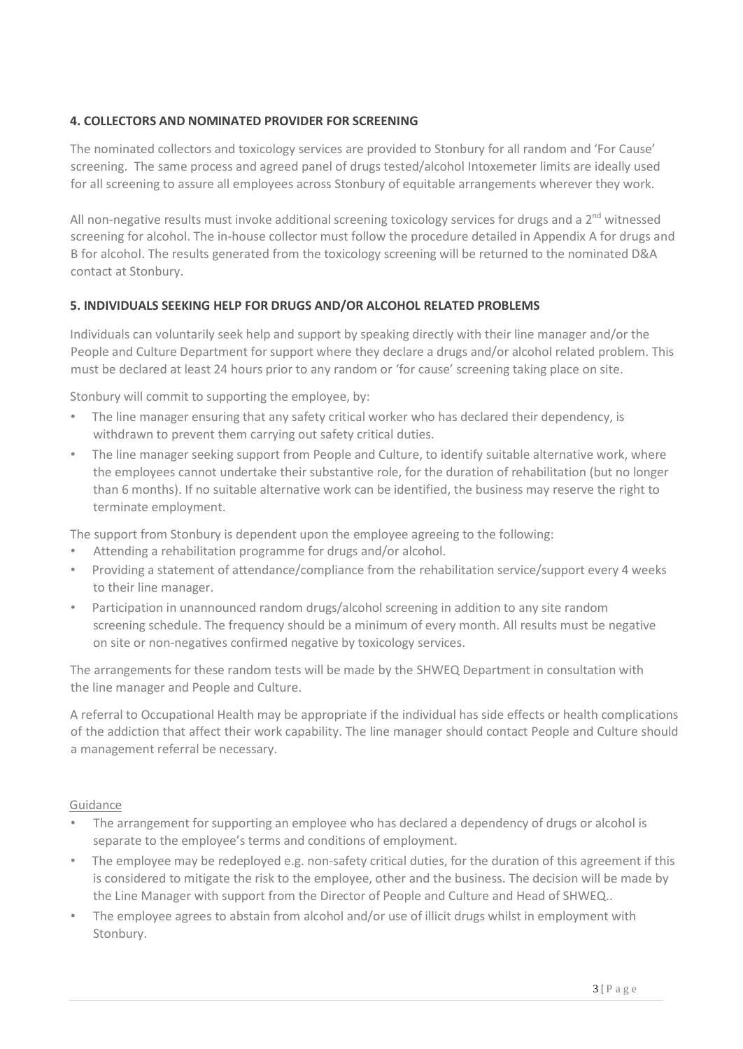# **4. COLLECTORS AND NOMINATED PROVIDER FOR SCREENING**

The nominated collectors and toxicology services are provided to Stonbury for all random and 'For Cause' screening. The same process and agreed panel of drugs tested/alcohol Intoxemeter limits are ideally used for all screening to assure all employees across Stonbury of equitable arrangements wherever they work.

All non-negative results must invoke additional screening toxicology services for drugs and a  $2<sup>nd</sup>$  witnessed screening for alcohol. The in-house collector must follow the procedure detailed in Appendix A for drugs and B for alcohol. The results generated from the toxicology screening will be returned to the nominated D&A contact at Stonbury.

## **5. INDIVIDUALS SEEKING HELP FOR DRUGS AND/OR ALCOHOL RELATED PROBLEMS**

Individuals can voluntarily seek help and support by speaking directly with their line manager and/or the People and Culture Department for support where they declare a drugs and/or alcohol related problem. This must be declared at least 24 hours prior to any random or 'for cause' screening taking place on site.

Stonbury will commit to supporting the employee, by:

- The line manager ensuring that any safety critical worker who has declared their dependency, is withdrawn to prevent them carrying out safety critical duties.
- The line manager seeking support from People and Culture, to identify suitable alternative work, where the employees cannot undertake their substantive role, for the duration of rehabilitation (but no longer than 6 months). If no suitable alternative work can be identified, the business may reserve the right to terminate employment.

The support from Stonbury is dependent upon the employee agreeing to the following:

- Attending a rehabilitation programme for drugs and/or alcohol.
- Providing a statement of attendance/compliance from the rehabilitation service/support every 4 weeks to their line manager.
- Participation in unannounced random drugs/alcohol screening in addition to any site random screening schedule. The frequency should be a minimum of every month. All results must be negative on site or non-negatives confirmed negative by toxicology services.

The arrangements for these random tests will be made by the SHWEQ Department in consultation with the line manager and People and Culture.

A referral to Occupational Health may be appropriate if the individual has side effects or health complications of the addiction that affect their work capability. The line manager should contact People and Culture should a management referral be necessary.

Guidance

- The arrangement for supporting an employee who has declared a dependency of drugs or alcohol is separate to the employee's terms and conditions of employment.
- The employee may be redeployed e.g. non-safety critical duties, for the duration of this agreement if this is considered to mitigate the risk to the employee, other and the business. The decision will be made by the Line Manager with support from the Director of People and Culture and Head of SHWEQ..
- The employee agrees to abstain from alcohol and/or use of illicit drugs whilst in employment with Stonbury.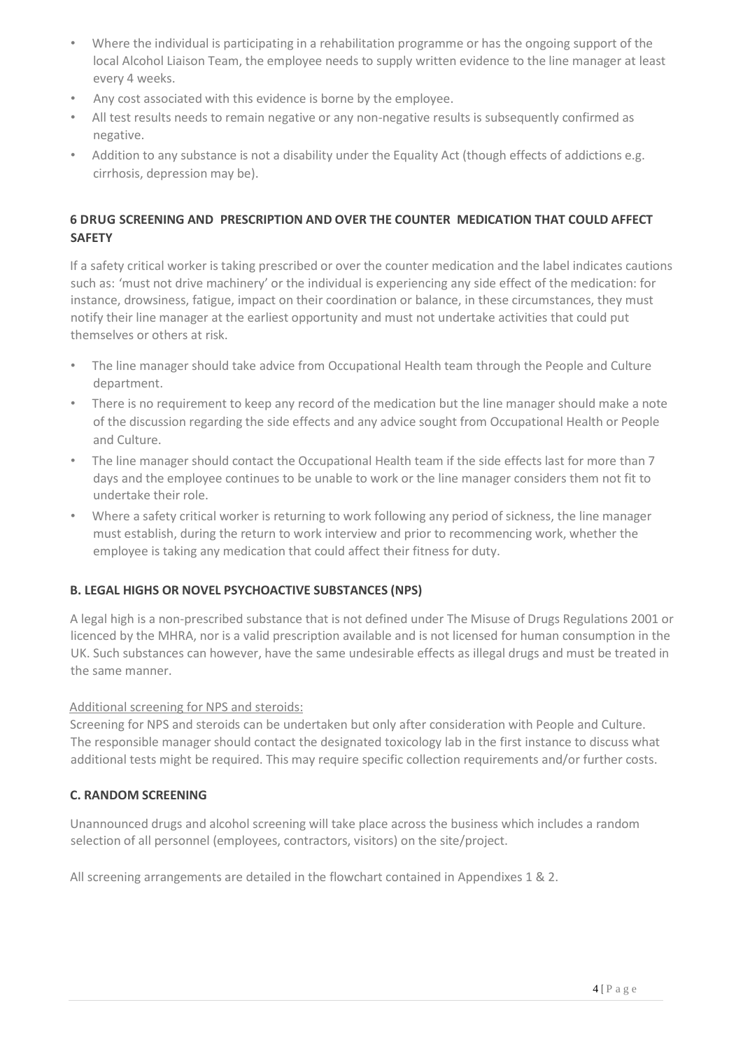- Where the individual is participating in a rehabilitation programme or has the ongoing support of the local Alcohol Liaison Team, the employee needs to supply written evidence to the line manager at least every 4 weeks.
- Any cost associated with this evidence is borne by the employee.
- All test results needs to remain negative or any non-negative results is subsequently confirmed as negative.
- Addition to any substance is not a disability under the Equality Act (though effects of addictions e.g. cirrhosis, depression may be).

# **6 DRUG SCREENING AND PRESCRIPTION AND OVER THE COUNTER MEDICATION THAT COULD AFFECT SAFETY**

If a safety critical [worker](http://ourwayofworking.skanska.co.uk/processlibraries%202011/lse/live/html/hs/Flowcharts/EHS%20022%20Occupational%20Health%20Process%20Part%20B.html) [is](http://ourwayofworking.skanska.co.uk/processlibraries%202011/lse/live/html/hs/Flowcharts/EHS%20022%20Occupational%20Health%20Process%20Part%20B.html) taking prescribed or over the counter medication and the label indicates cautions such as: 'must not drive machinery' or the individual is experiencing any side effect of the medication: for instance, drowsiness, fatigue, impact on their coordination or balance, in these circumstances, they must notify their line manager at the earliest opportunity and must not undertake activities that could put themselves or others at risk.

- The line manager should take advice from Occupational Health team through the People and Culture department.
- There is no requirement to keep any record of the medication but the line manager should make a note of the discussion regarding the side effects and any advice sought from Occupational Health or People and Culture.
- The line manager should contact the Occupational Health team if the side effects last for more than 7 days and the employee continues to be unable to work or the line manager considers them not fit to undertake their role.
- Where a safety critical worker is returning to work following any period of sickness, the line manager must establish, during the return to work interview and prior to recommencing work, whether the employee is taking any medication that could affect their fitness for duty.

## **B. LEGAL HIGHS OR NOVEL PSYCHOACTIVE SUBSTANCES (NPS)**

A legal high is a non-prescribed substance that is not defined under The Misuse of Drugs Regulations 2001 or licenced by the MHRA, nor is a valid prescription available and is not licensed for human consumption in the UK. Such substances can however, have the same undesirable effects as illegal drugs and must be treated in the same manner.

## Additional screening for NPS and steroids:

Screening for NPS and steroids can be undertaken but only after consideration with People and Culture. The responsible manager should contact the designated toxicology lab in the first instance to discuss what additional tests might be required. This may require specific collection requirements and/or further costs.

## **C. RANDOM SCREENING**

Unannounced drugs and alcohol screening will take place across the business which includes a random selection of all personnel (employees, contractors, visitors) on the site/project.

All screening arrangements are detailed in the flowchart contained in Appendixes 1 & 2.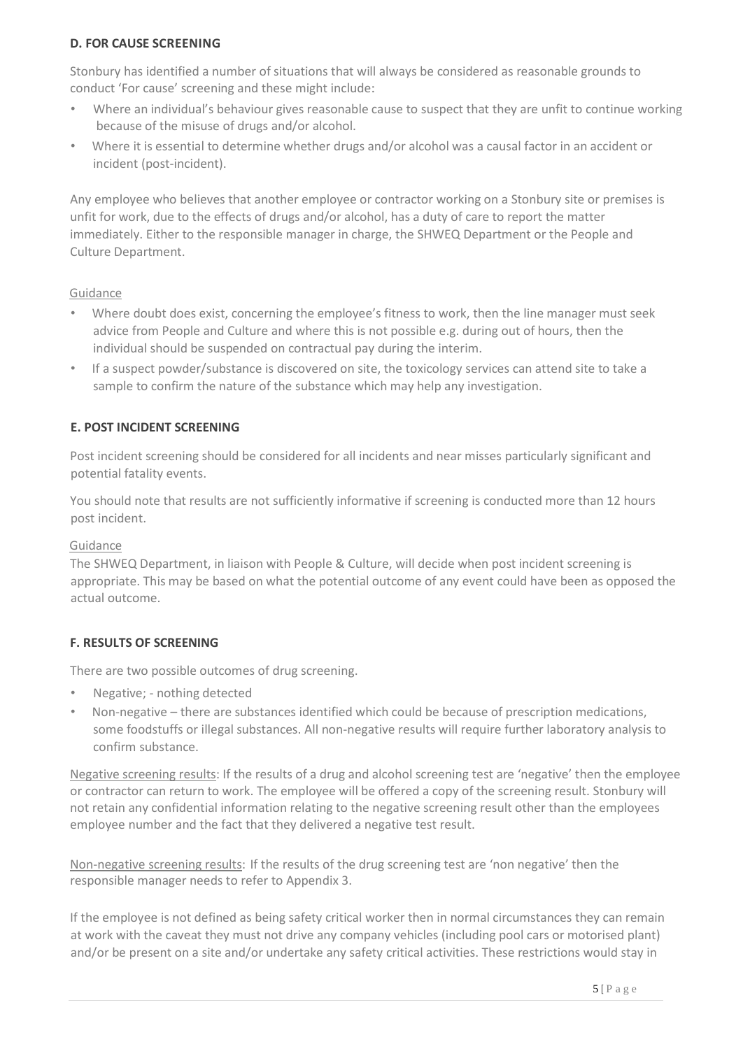#### **D. FOR CAUSE SCREENING**

Stonbury has identified a number of situations that will always be considered as reasonable grounds to conduct 'For cause' screening and these might include:

- Where an individual's behaviour gives reasonable cause to suspect that they are unfit to continue working because of the misuse of drugs and/or alcohol.
- Where it is essential to determine whether drugs and/or alcohol was a causal factor in an accident or incident (post-incident).

Any employee who believes that another employee or contractor working on a Stonbury site or premises is unfit for work, due to the effects of drugs and/or alcohol, has a duty of care to report the matter immediately. Either to the responsible manager in charge, the SHWEQ Department or the People and Culture Department.

## Guidance

- Where doubt does exist, concerning the employee's fitness to work, then the line manager must seek advice from People and Culture and where this is not possible e.g. during out of hours, then the individual should be suspended on contractual pay during the interim.
- If a suspect powder/substance is discovered on site, the toxicology services can attend site to take a sample to confirm the nature of the substance which may help any investigation.

## **E. POST INCIDENT SCREENING**

Post incident screening should be considered for all incidents and near misses particularly significant and potential fatality events.

You should note that results are not sufficiently informative if screening is conducted more than 12 hours post incident.

#### Guidance

The SHWEQ Department, in liaison with People & Culture, will decide when post incident screening is appropriate. This may be based on what the potential outcome of any event could have been as opposed the actual outcome.

## **F. RESULTS OF SCREENING**

There are two possible outcomes of drug screening.

- Negative; nothing detected
- Non-negative there are substances identified which could be because of prescription medications, some foodstuffs or illegal substances. All non-negative results will require further laboratory analysis to confirm substance.

Negative screening results: If the results of a drug and alcohol screening test are 'negative' then the employee or contractor can return to work. The employee will be offered a copy of the screening result. Stonbury will not retain any confidential information relating to the negative screening result other than the employees employee number and the fact that they delivered a negative test result.

Non-negative screening results: If the results of the drug screening test are 'non negative' then the responsible manager needs to refer to Appendix 3.

If the employee is not defined as being safety critical worker then in normal circumstances they can remain at work with the caveat they must not drive any company vehicles (including pool cars or motorised plant) and/or be present on a site and/or undertake any safety critical activities. These restrictions would stay in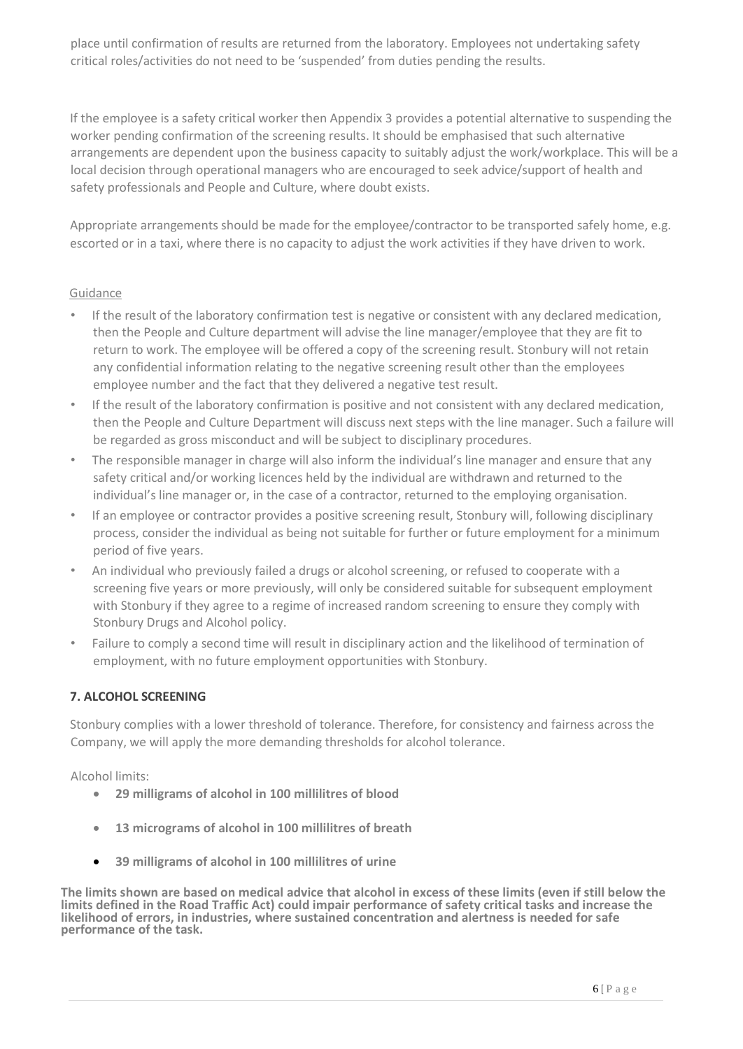place until confirmation of results are returned from the laboratory. Employees not undertaking safety critical roles/activities do not need to be 'suspended' from duties pending the results.

If the employee is a safety critical worker then Appendix 3 provides a potential alternative to suspending the worker pending confirmation of the screening results. It should be emphasised that such alternative arrangements are dependent upon the business capacity to suitably adjust the work/workplace. This will be a local decision through operational managers who are encouraged to seek advice/support of health and safety professionals and People and Culture, where doubt exists.

Appropriate arrangements should be made for the employee/contractor to be transported safely home, e.g. escorted or in a taxi, where there is no capacity to adjust the work activities if they have driven to work.

## Guidance

- If the result of the laboratory confirmation test is negative or consistent with any declared medication, then the People and Culture department will advise the line manager/employee that they are fit to return to work. The employee will be offered a copy of the screening result. Stonbury will not retain any confidential information relating to the negative screening result other than the employees employee number and the fact that they delivered a negative test result.
- If the result of the laboratory confirmation is positive and not consistent with any declared medication, then the People and Culture Department will discuss next steps with the line manager. Such a failure will be regarded as gross misconduct and will be subject to disciplinary procedures.
- The responsible manager in charge will also inform the individual's line manager and ensure that any safety critical and/or working licences held by the individual are withdrawn and returned to the individual's line manager or, in the case of a contractor, returned to the employing organisation.
- If an employee or contractor provides a positive screening result, Stonbury will, following disciplinary process, consider the individual as being not suitable for further or future employment for a minimum period of five years.
- An individual who previously failed a drugs or alcohol screening, or refused to cooperate with a screening five years or more previously, will only be considered suitable for subsequent employment with Stonbury if they agree to a regime of increased random screening to ensure they comply with Stonbury Drugs and Alcohol policy.
- Failure to comply a second time will result in disciplinary action and the likelihood of termination of employment, with no future employment opportunities with Stonbury.

## **7. ALCOHOL SCREENING**

Stonbury complies with a lower threshold of tolerance. Therefore, for consistency and fairness across the Company, we will apply the more demanding thresholds for alcohol tolerance.

Alcohol limits:

- **29 milligrams of alcohol in 100 millilitres of blood**
- **13 micrograms of alcohol in 100 millilitres of breath**
- **39 milligrams of alcohol in 100 millilitres of urine**

**The limits shown are based on medical advice that alcohol in excess of these limits (even if still below the limits defined in the Road Traffic Act) could impair performance of safety critical tasks and increase the likelihood of errors, in industries, where sustained concentration and alertness is needed for safe performance of the task.**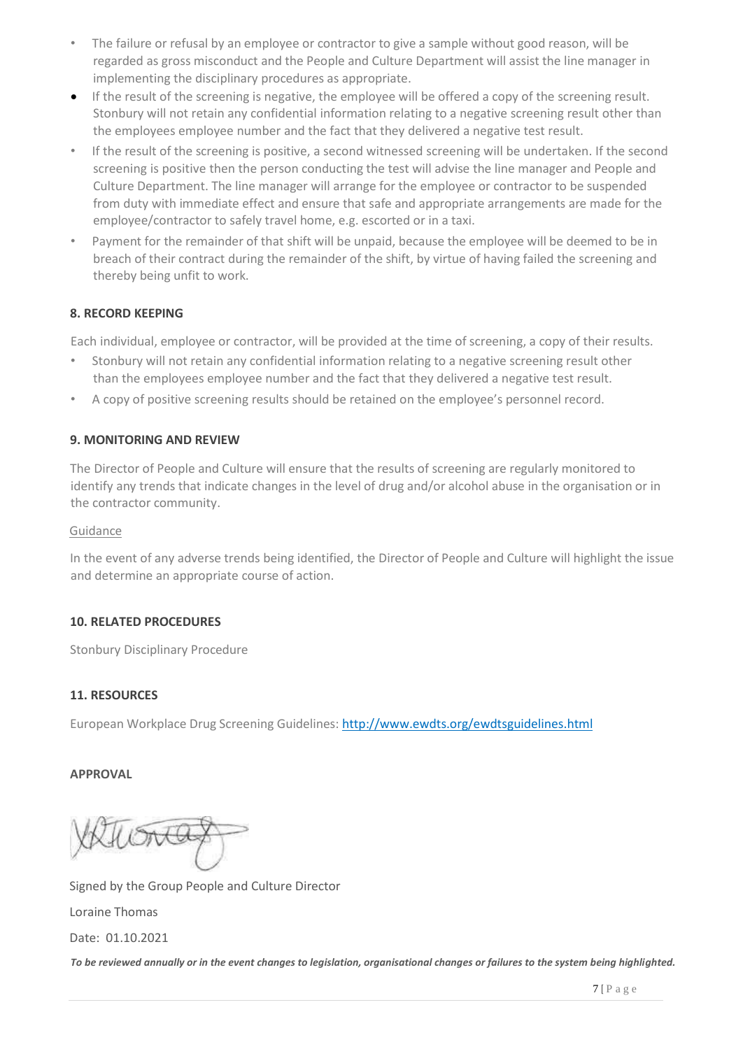- The failure or refusal by an employee or contractor to give a sample without good reason, will be regarded as gross misconduct and the People and Culture Department will assist the line manager in implementing the disciplinary procedures as appropriate.
- If the result of the screening is negative, the employee will be offered a copy of the screening result. Stonbury will not retain any confidential information relating to a negative screening result other than the employees employee number and the fact that they delivered a negative test result.
- If the result of the screening is positive, a second witnessed screening will be undertaken. If the second screening is positive then the person conducting the test will advise the line manager and People and Culture Department. The line manager will arrange for the employee or contractor to be suspended from duty with immediate effect and ensure that safe and appropriate arrangements are made for the employee/contractor to safely travel home, e.g. escorted or in a taxi.
- Payment for the remainder of that shift will be unpaid, because the employee will be deemed to be in breach of their contract during the remainder of the shift, by virtue of having failed the screening and thereby being unfit to work.

# **8. RECORD KEEPING**

Each individual, employee or contractor, will be provided at the time of screening, a copy of their results.

- Stonbury will not retain any confidential information relating to a negative screening result other than the employees employee number and the fact that they delivered a negative test result.
- A copy of positive screening results should be retained on the employee's personnel record.

## **9. MONITORING AND REVIEW**

The Director of People and Culture will ensure that the results of screening are regularly monitored to identify any trends that indicate changes in the level of drug and/or alcohol abuse in the organisation or in the contractor community.

#### Guidance

In the event of any adverse trends being identified, the Director of People and Culture will highlight the issue and determine an appropriate course of action.

## **10. RELATED PROCEDURES**

Stonbury Disciplinary Procedure

## **11. RESOURCES**

European Workplace Drug Screening Guidelines[: http://www.ewdts.org/ewdtsguidelines.html](http://www.ewdts.org/ewdts-guidelines.html)

## **APPROVAL**

Signed by the Group People and Culture Director Loraine Thomas Date: 01.10.2021

To be reviewed annually or in the event changes to legislation, organisational changes or failures to the system being highlighted.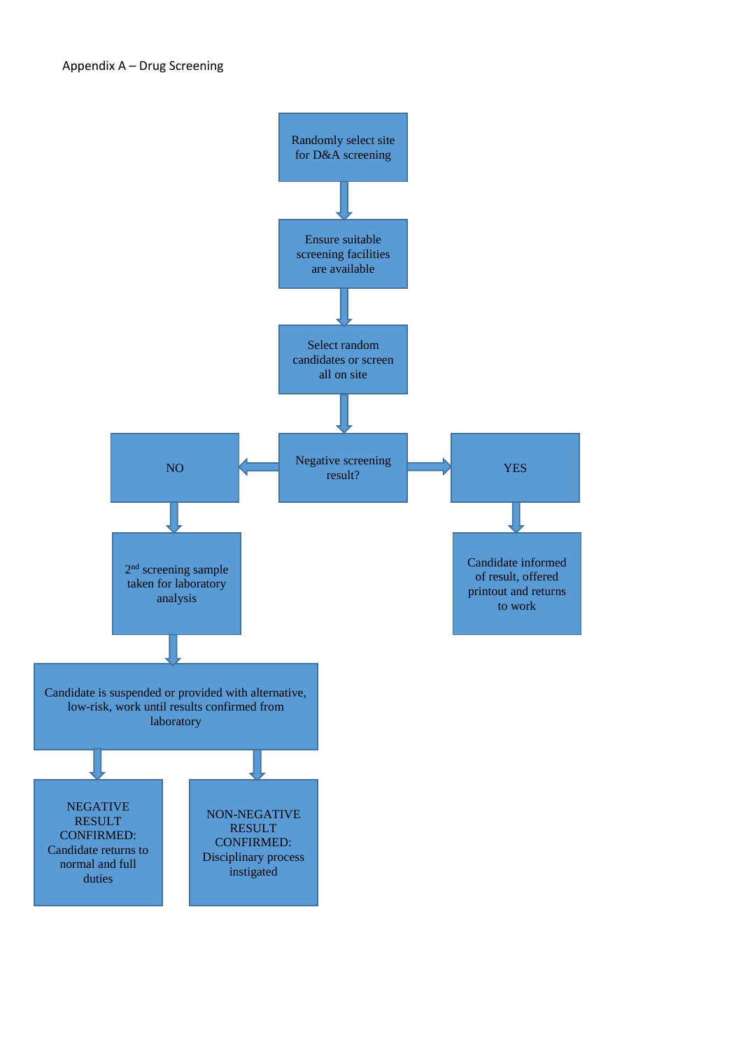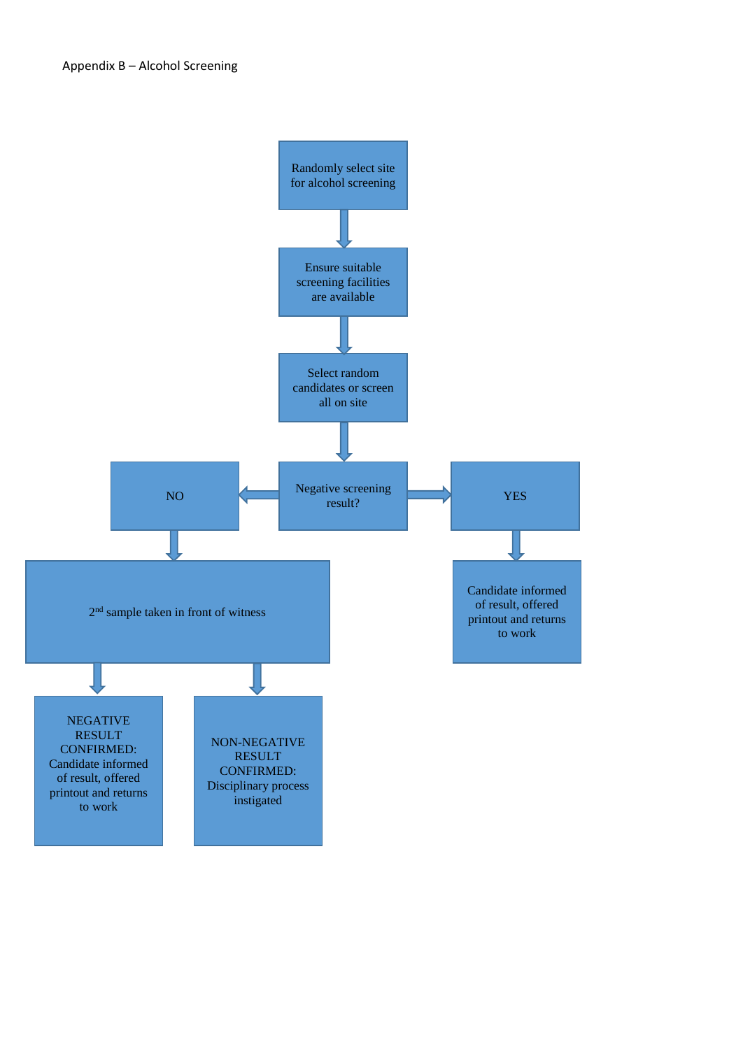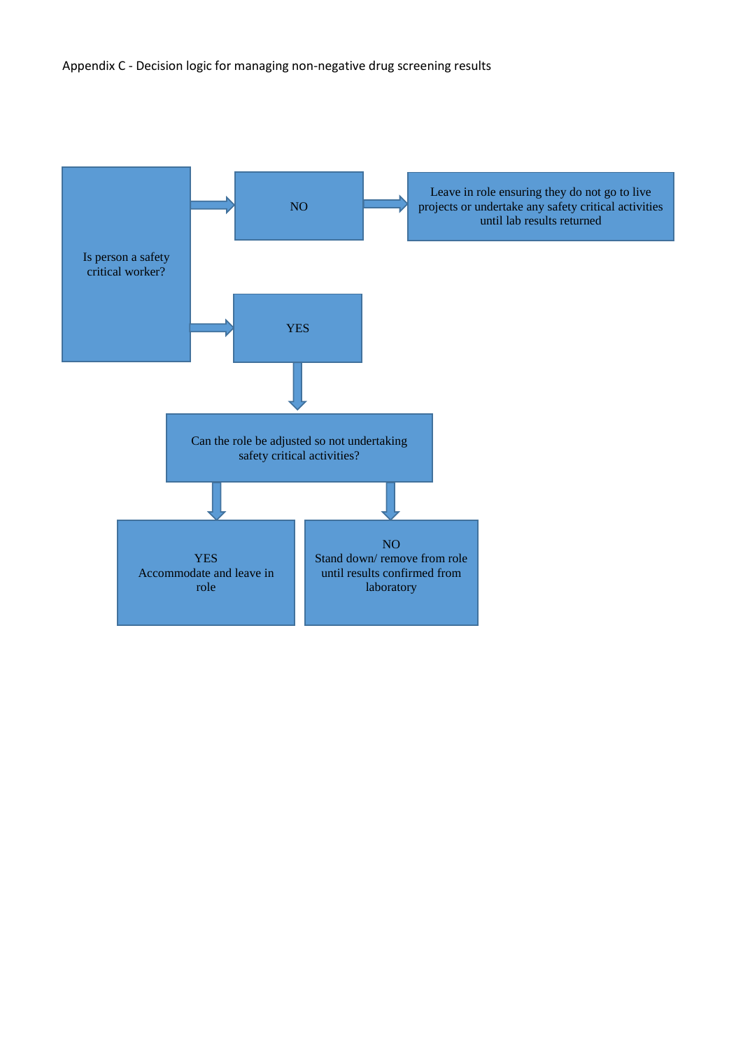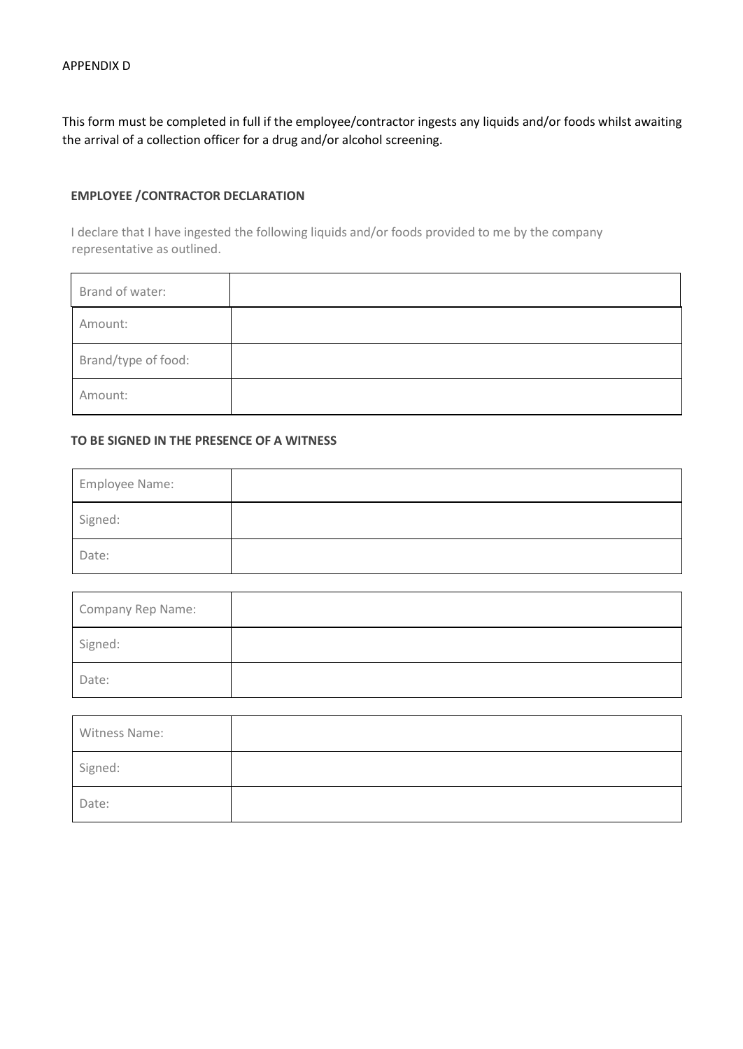This form must be completed in full if the employee/contractor ingests any liquids and/or foods whilst awaiting the arrival of a collection officer for a drug and/or alcohol screening.

#### **EMPLOYEE /CONTRACTOR DECLARATION**

I declare that I have ingested the following liquids and/or foods provided to me by the company representative as outlined.

| Brand of water:     |  |
|---------------------|--|
| Amount:             |  |
| Brand/type of food: |  |
| Amount:             |  |

#### **TO BE SIGNED IN THE PRESENCE OF A WITNESS**

| Employee Name: |  |
|----------------|--|
| Signed:        |  |
| Date:          |  |

| Company Rep Name: |  |
|-------------------|--|
| Signed:           |  |
| Date:             |  |

| Witness Name: |  |
|---------------|--|
| Signed:       |  |
| Date:         |  |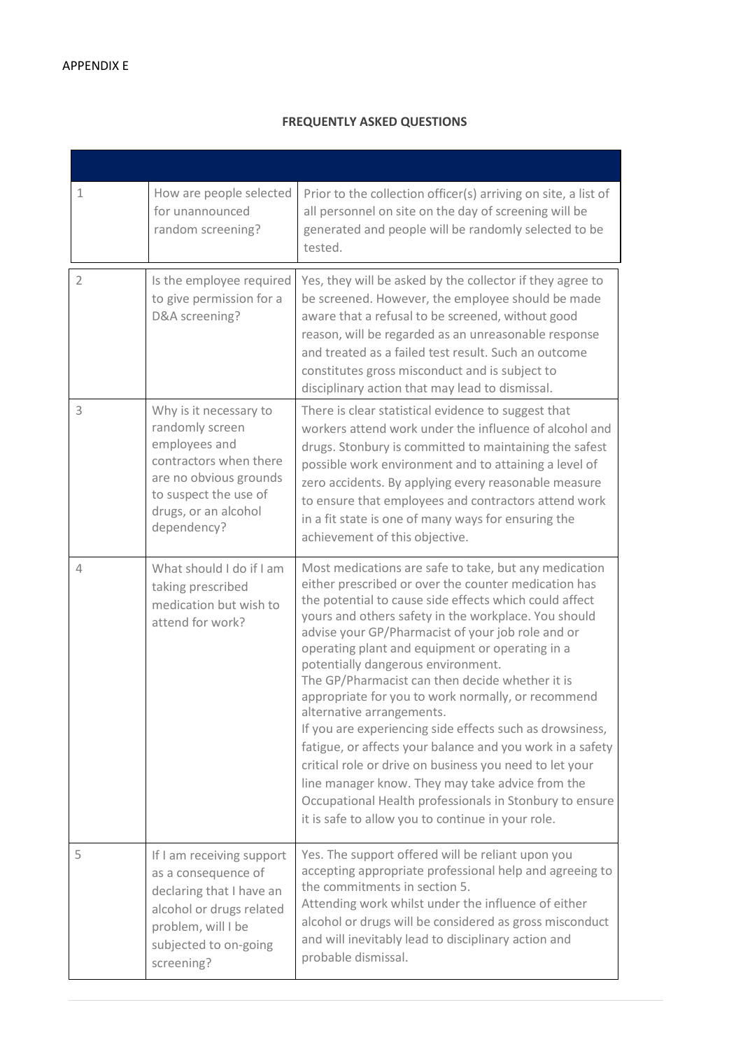#### **FREQUENTLY ASKED QUESTIONS**

| 1              | How are people selected<br>for unannounced<br>random screening?                                                                                                                | Prior to the collection officer(s) arriving on site, a list of<br>all personnel on site on the day of screening will be<br>generated and people will be randomly selected to be<br>tested.                                                                                                                                                                                                                                                                                                                                                                                                                                                                                                                                                                                                                                                                                  |
|----------------|--------------------------------------------------------------------------------------------------------------------------------------------------------------------------------|-----------------------------------------------------------------------------------------------------------------------------------------------------------------------------------------------------------------------------------------------------------------------------------------------------------------------------------------------------------------------------------------------------------------------------------------------------------------------------------------------------------------------------------------------------------------------------------------------------------------------------------------------------------------------------------------------------------------------------------------------------------------------------------------------------------------------------------------------------------------------------|
| $\overline{2}$ | Is the employee required<br>to give permission for a<br>D&A screening?                                                                                                         | Yes, they will be asked by the collector if they agree to<br>be screened. However, the employee should be made<br>aware that a refusal to be screened, without good<br>reason, will be regarded as an unreasonable response<br>and treated as a failed test result. Such an outcome<br>constitutes gross misconduct and is subject to<br>disciplinary action that may lead to dismissal.                                                                                                                                                                                                                                                                                                                                                                                                                                                                                    |
| 3              | Why is it necessary to<br>randomly screen<br>employees and<br>contractors when there<br>are no obvious grounds<br>to suspect the use of<br>drugs, or an alcohol<br>dependency? | There is clear statistical evidence to suggest that<br>workers attend work under the influence of alcohol and<br>drugs. Stonbury is committed to maintaining the safest<br>possible work environment and to attaining a level of<br>zero accidents. By applying every reasonable measure<br>to ensure that employees and contractors attend work<br>in a fit state is one of many ways for ensuring the<br>achievement of this objective.                                                                                                                                                                                                                                                                                                                                                                                                                                   |
| 4              | What should I do if I am<br>taking prescribed<br>medication but wish to<br>attend for work?                                                                                    | Most medications are safe to take, but any medication<br>either prescribed or over the counter medication has<br>the potential to cause side effects which could affect<br>yours and others safety in the workplace. You should<br>advise your GP/Pharmacist of your job role and or<br>operating plant and equipment or operating in a<br>potentially dangerous environment.<br>The GP/Pharmacist can then decide whether it is<br>appropriate for you to work normally, or recommend<br>alternative arrangements.<br>If you are experiencing side effects such as drowsiness,<br>fatigue, or affects your balance and you work in a safety<br>critical role or drive on business you need to let your<br>line manager know. They may take advice from the<br>Occupational Health professionals in Stonbury to ensure<br>it is safe to allow you to continue in your role. |
| 5              | If I am receiving support<br>as a consequence of<br>declaring that I have an<br>alcohol or drugs related<br>problem, will I be<br>subjected to on-going<br>screening?          | Yes. The support offered will be reliant upon you<br>accepting appropriate professional help and agreeing to<br>the commitments in section 5.<br>Attending work whilst under the influence of either<br>alcohol or drugs will be considered as gross misconduct<br>and will inevitably lead to disciplinary action and<br>probable dismissal.                                                                                                                                                                                                                                                                                                                                                                                                                                                                                                                               |